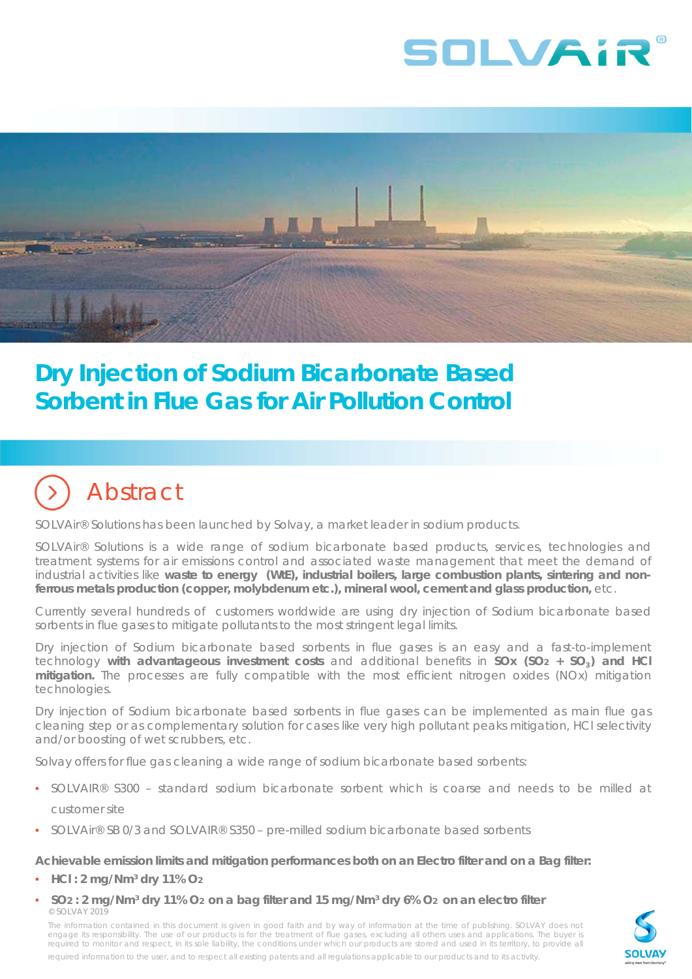



## **Dry Injection of Sodium Bicarbonate Based Sorbent in Flue Gas for Air Pollution Control**

# Abstract

SOLVAir® Solutions has been launched by Solvay, a market leader in sodium products.

SOLVAir® Solutions is a wide range of sodium bicarbonate based products, services, technologies and treatment systems for air emissions control and associated waste management that meet the demand of industrial activities like **waste to energy (WtE), industrial boilers, large combustion plants, sintering and nonferrous metals production (copper, molybdenum etc.), mineral wool, cement and glass production,** etc.

Currently several hundreds of customers worldwide are using dry injection of Sodium bicarbonate based sorbents in flue gases to mitigate pollutants to the most stringent legal limits.

Dry injection of Sodium bicarbonate based sorbents in flue gases is an easy and a fast-to-implement technology **with advantageous investment costs** and additional benefits in **SOx (SO2 + SO**₃**) and HCl mitigation.** The processes are fully compatible with the most efficient nitrogen oxides (NOx) mitigation technologies.

Dry injection of Sodium bicarbonate based sorbents in flue gases can be implemented as main flue gas cleaning step or as complementary solution for cases like very high pollutant peaks mitigation, HCl selectivity and/or boosting of wet scrubbers, etc.

Solvay offers for flue gas cleaning a wide range of sodium bicarbonate based sorbents:

- SOLVAIR® S300 standard sodium bicarbonate sorbent which is coarse and needs to be milled at customer site
- SOLVAir® SB 0/3 and SOLVAIR® S350 pre-milled sodium bicarbonate based sorbents

#### **Achievable emission limits and mitigation performances both on an Electro filter and on a Bag filter:**

- **HCl : 2 mg/Nm³ dry 11% O2**
- © SOLVAY 2019 • **SO2 : 2 mg/Nm³ dry 11% O2 on a bag filter and 15 mg/Nm³ dry 6% O2 on an electro filter**

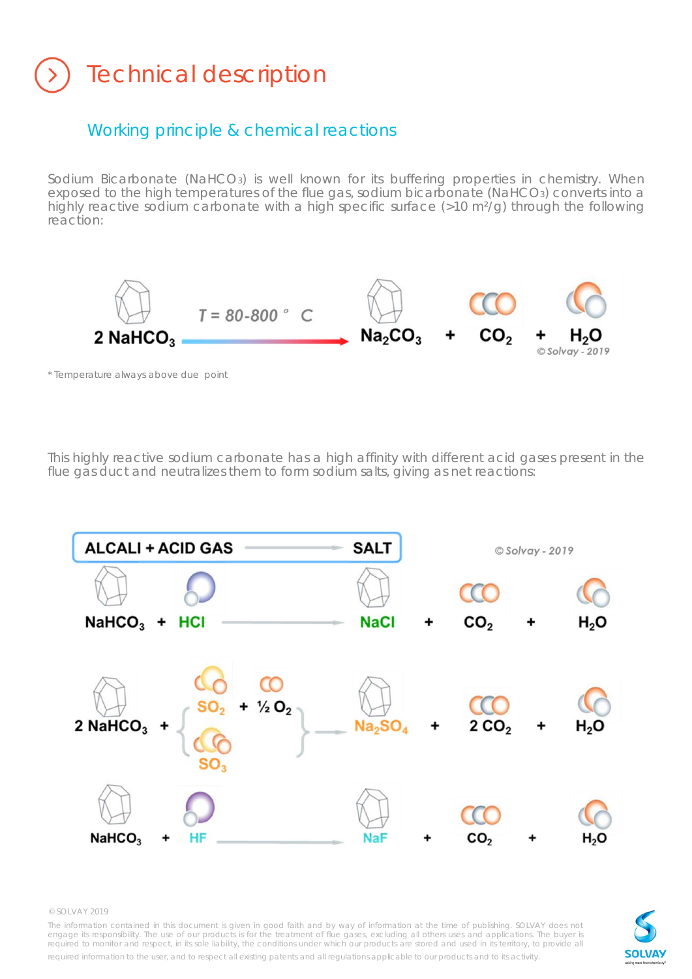# Technical description

## Working principle & chemical reactions

Sodium Bicarbonate (NaHCO<sub>3</sub>) is well known for its buffering properties in chemistry. When exposed to the high temperatures of the flue gas, sodium bicarbonate (NaHCO3) converts into a highly reactive sodium carbonate with a high specific surface (>10 m<sup>2</sup>/g) through the following reaction:



*\* Temperature always above due point*

This highly reactive sodium carbonate has a high affinity with different acid gases present in the flue gas duct and neutralizes them to form sodium salts, giving as net reactions:



© SOLVAY 2019

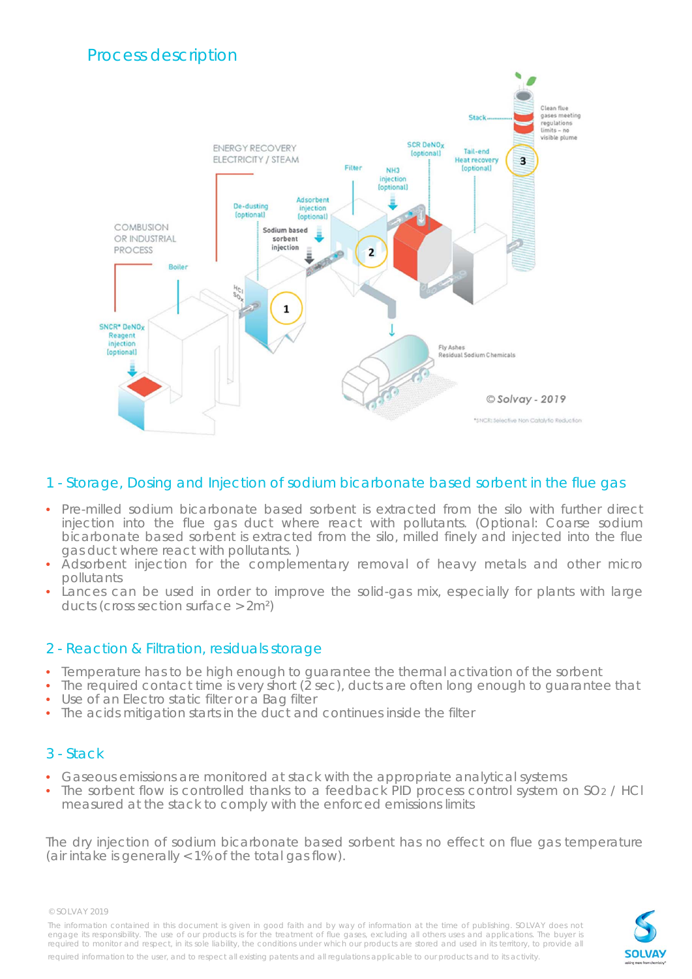

## 1 - Storage, Dosing and Injection of sodium bicarbonate based sorbent in the flue gas

- Pre-milled sodium bicarbonate based sorbent is extracted from the silo with further direct injection into the flue gas duct where react with pollutants. (Optional: Coarse sodium bicarbonate based sorbent is extracted from the silo, milled finely and injected into the flue gas duct where react with pollutants. )
- Adsorbent injection for the complementary removal of heavy metals and other micro pollutants
- Lances can be used in order to improve the solid-gas mix, especially for plants with large ducts (cross section surface > 2m²)

### 2 - Reaction & Filtration, residuals storage

- Temperature has to be high enough to guarantee the thermal activation of the sorbent
- $\bullet$  The required contact time is very short ( $\overline{2}$  sec), ducts are often long enough to guarantee that Use of an Electro static filter or a Bag filter
- The acids mitigation starts in the duct and continues inside the filter

## 3 - Stack

- Gaseous emissions are monitored at stack with the appropriate analytical systems
- The sorbent flow is controlled thanks to a feedback PID process control system on SO<sub>2</sub> / HCl measured at the stack to comply with the enforced emissions limits

The dry injection of sodium bicarbonate based sorbent has no effect on flue gas temperature (air intake is generally < 1% of the total gas flow).

© SOLVAY 2019

The information contained in this document is given in good faith and by way of information at the time of publishing. SOLVAY does not engage its responsibility. The use of our products is for the treatment of flue gases, excluding all others uses and applications. The buyer is required to monitor and respect, in its sole liability, the conditions under which our products are stored and used in its territory, to provide all

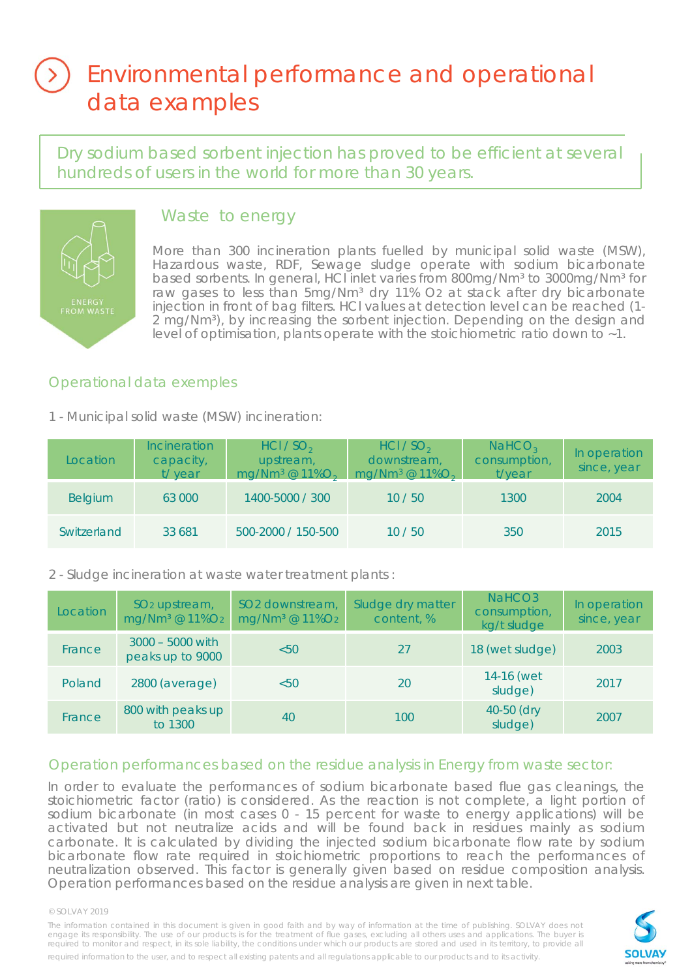## Environmental performance and operational data examples

Dry sodium based sorbent injection has proved to be efficient at several hundreds of users in the world for more than 30 years.



## Waste to energy

More than 300 incineration plants fuelled by municipal solid waste (MSW), Hazardous waste, RDF, Sewage sludge operate with sodium bicarbonate based sorbents. In general, HCI inlet varies from 800mg/Nm<sup>3</sup> to 3000mg/Nm<sup>3</sup> for raw gases to less than 5mg/Nm<sup>3</sup> dry 11% O2 at stack after dry bicarbonate injection in front of bag filters. HCl values at detection level can be reached (1- 2 mg/Nm<sup>3</sup>), by increasing the sorbent injection. Depending on the design and level of optimisation, plants operate with the stoichiometric ratio down to ~1.

## Operational data exemples

### 1 - Municipal solid waste (MSW) incineration:

| <b>Location</b> | <b>Incineration</b><br>capacity,<br>t/year | HCl / SO <sub>2</sub><br>upstream,<br>$mg/Nm^3 @ 11\%O_2$ | HCl / SO <sub>2</sub><br>downstream,<br>mg/Nm <sup>3</sup> @ $11\%O_2$ | NAHCO <sub>3</sub><br>consumption,<br>t/year | In operation<br>since, year |
|-----------------|--------------------------------------------|-----------------------------------------------------------|------------------------------------------------------------------------|----------------------------------------------|-----------------------------|
| <b>Belgium</b>  | 63 000                                     | 1400-5000 / 300                                           | 10/50                                                                  | 1300                                         | 2004                        |
| Switzerland     | 33 681                                     | 500-2000 / 150-500                                        | 10/50                                                                  | 350                                          | 2015                        |

## 2 - Sludge incineration at waste water treatment plants :

| Location | SO <sub>2</sub> upstream,<br>mg/Nm <sup>3</sup> @ 11%O <sub>2</sub> | SO <sub>2</sub> downstream,<br>mg/Nm <sup>3</sup> @ 11%O <sub>2</sub> | Sludge dry matter<br>content, % | NaHCO <sub>3</sub><br>consumption,<br>kg/t sludge | In operation<br>since, year |
|----------|---------------------------------------------------------------------|-----------------------------------------------------------------------|---------------------------------|---------------------------------------------------|-----------------------------|
| France   | $3000 - 5000$ with<br>peaks up to 9000                              | < 50                                                                  | 27                              | 18 (wet sludge)                                   | 2003                        |
| Poland   | 2800 (average)                                                      | < 50                                                                  | 20                              | 14-16 (wet<br>sludge)                             | 2017                        |
| France   | 800 with peaks up<br>to 1300                                        | 40                                                                    | 100                             | 40-50 (dry<br>sludge)                             | 2007                        |

## Operation performances based on the residue analysis in Energy from waste sector:

In order to evaluate the performances of sodium bicarbonate based flue gas cleanings, the stoichiometric factor (ratio) is considered. As the reaction is not complete, a light portion of sodium bicarbonate (in most cases 0 - 15 percent for waste to energy applications) will be activated but not neutralize acids and will be found back in residues mainly as sodium carbonate. It is calculated by dividing the injected sodium bicarbonate flow rate by sodium bicarbonate flow rate required in stoichiometric proportions to reach the performances of neutralization observed. This factor is generally given based on residue composition analysis. Operation performances based on the residue analysis are given in next table.

#### © SOLVAY 2019

The information contained in this document is given in good faith and by way of information at the time of publishing. SOLVAY does not<br>engage its responsibility. The use of our products is for the treatment of flue gases, required information to the user, and to respect all existing patents and all regulations applicable to our products and to its activity.

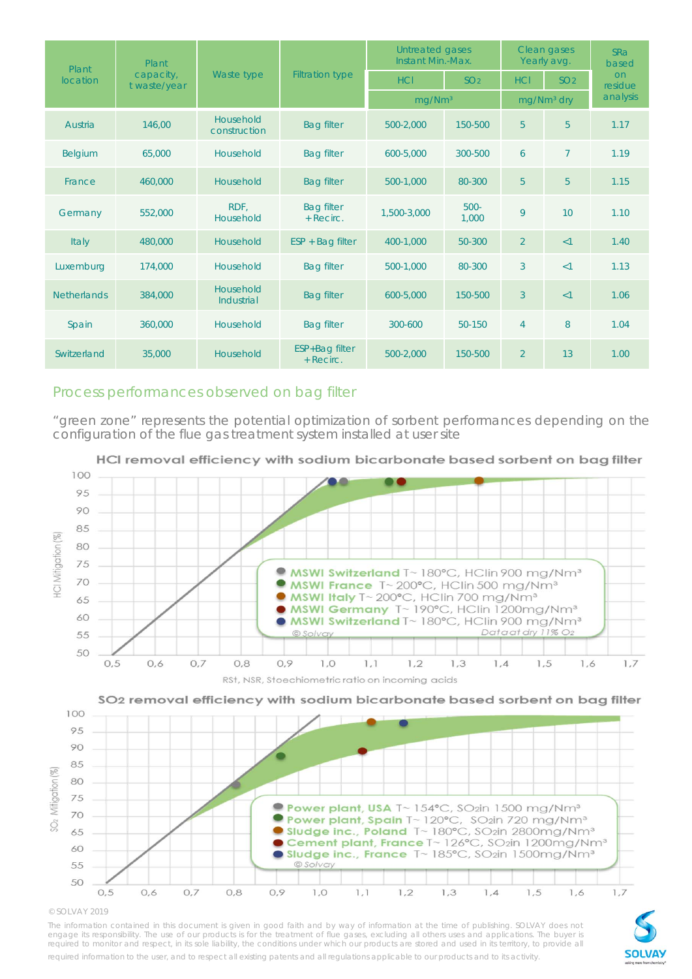| Plant              | Plant                     |                                |                                | Untreated gases<br>Instant Min.-Max. |                  | Clean gases<br>Yearly avg. |                 | <b>SRa</b><br>based  |
|--------------------|---------------------------|--------------------------------|--------------------------------|--------------------------------------|------------------|----------------------------|-----------------|----------------------|
| <b>location</b>    | capacity,<br>t waste/year | Waste type                     | <b>Filtration type</b>         | <b>HCI</b>                           | SO <sub>2</sub>  | <b>HCI</b>                 | SO <sub>2</sub> | <b>on</b><br>residue |
|                    |                           |                                |                                | mq/Nm <sup>3</sup>                   |                  | mg/Nm <sup>3</sup> dry     |                 | analysis             |
| Austria            | 146,00                    | Household<br>construction      | <b>Bag filter</b>              | 500-2,000                            | 150-500          | 5                          | 5               | 1.17                 |
| Belgium            | 65,000                    | Household                      | <b>Bag filter</b>              | 600-5,000                            | 300-500          | 6                          | $\overline{7}$  | 1.19                 |
| France             | 460,000                   | Household                      | <b>Bag filter</b>              | 500-1,000                            | 80-300           | 5                          | 5               | 1.15                 |
| Germany            | 552,000                   | RDF.<br>Household              | <b>Bag filter</b><br>+ Recirc. | 1,500-3,000                          | $500 -$<br>1.000 | 9                          | 10              | 1.10                 |
| Italy              | 480,000                   | Household                      | $ESP + Bag filter$             | 400-1.000                            | 50-300           | $\overline{2}$             | <1              | 1.40                 |
| Luxemburg          | 174,000                   | Household                      | <b>Bag filter</b>              | 500-1,000                            | 80-300           | 3                          | $\leq$ 1        | 1.13                 |
| <b>Netherlands</b> | 384,000                   | Household<br><b>Industrial</b> | <b>Bag filter</b>              | 600-5,000                            | 150-500          | $\overline{3}$             | <1              | 1.06                 |
| Spain              | 360,000                   | Household                      | <b>Bag filter</b>              | 300-600                              | 50-150           | $\overline{4}$             | 8               | 1.04                 |
| Switzerland        | 35,000                    | Household                      | ESP+Bag filter<br>+ Recirc.    | 500-2.000                            | 150-500          | $\overline{2}$             | 13              | 1.00                 |

### Process performances observed on bag filter

"green zone" represents the potential optimization of sorbent performances depending on the configuration of the flue gas treatment system installed at user site



HCI removal efficiency with sodium bicarbonate based sorbent on bag filter



<sup>©</sup> SOLVAY 2019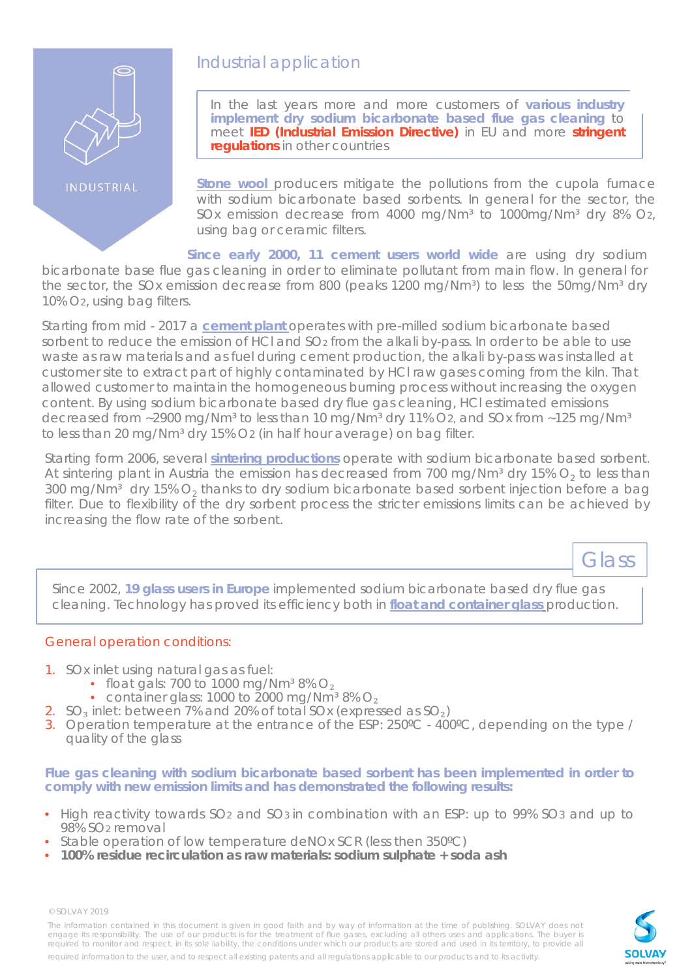

INDUSTRIAL

## Industrial application

In the last years more and more customers of **various industry implement dry sodium bicarbonate based flue gas cleaning** to meet **IED (Industrial Emission Directive)** in EU and more **stringent regulations** in other countries

**Stone wool** producers mitigate the pollutions from the cupola furnace with sodium bicarbonate based sorbents. In general for the sector, the SOx emission decrease from 4000 mg/Nm<sup>3</sup> to 1000mg/Nm<sup>3</sup> dry 8% O<sub>2</sub>, using bag or ceramic filters.

**Since early 2000, 11 cement users world wide** are using dry sodium bicarbonate base flue gas cleaning in order to eliminate pollutant from main flow. In general for the sector, the SOx emission decrease from 800 (peaks 1200 mg/Nm<sup>3</sup>) to less the 50mg/Nm<sup>3</sup> dry 10% O2, using bag filters.

Starting from mid - 2017 a **cement plant** operates with pre-milled sodium bicarbonate based sorbent to reduce the emission of HCI and SO<sub>2</sub> from the alkali by-pass. In order to be able to use waste as raw materials and as fuel during cement production, the alkali by-pass was installed at customer site to extract part of highly contaminated by HCl raw gases coming from the kiln. That allowed customer to maintain the homogeneous burning process without increasing the oxygen content. By using sodium bicarbonate based dry flue gas cleaning, HCl estimated emissions decreased from  $\sim$ 2900 mg/Nm<sup>3</sup> to less than 10 mg/Nm<sup>3</sup> dry 11% O2, and SOx from  $\sim$ 125 mg/Nm<sup>3</sup> to less than 20 mg/Nm<sup>3</sup> dry 15% O2 (in half hour average) on bag filter.

Starting form 2006, several **sintering productions** operate with sodium bicarbonate based sorbent. At sintering plant in Austria the emission has decreased from 700 mg/Nm<sup>3</sup> dry 15%  $O_2$  to less than 300 mg/Nm<sup>3</sup> dry 15%  $O<sub>2</sub>$  thanks to dry sodium bicarbonate based sorbent injection before a bag filter. Due to flexibility of the dry sorbent process the stricter emissions limits can be achieved by increasing the flow rate of the sorbent.

Glass

Since 2002, **19 glass users in Europe** implemented sodium bicarbonate based dry flue gas cleaning. Technology has proved its efficiency both in **float and container glass** production.

### General operation conditions:

- 1. SOx inlet using natural gas as fuel:
	- float gals: 700 to 1000 mg/Nm<sup>3</sup> 8%  $O<sub>2</sub>$
	- container glass: 1000 to  $2000 \text{ mg/Nm}^3 8\%$  O<sub>2</sub>
- 2.  $SO_3$  inlet: between 7% and 20% of total SOx (expressed as  $SO_2$ )
- 3. Operation temperature at the entrance of the ESP: 250ºC 400ºC, depending on the type / quality of the glass

**Flue gas cleaning with sodium bicarbonate based sorbent has been implemented in order to comply with new emission limits and has demonstrated the following results:**

- High reactivity towards SO<sub>2</sub> and SO<sub>3</sub> in combination with an ESP: up to 99% SO<sub>3</sub> and up to 98% SO2 removal
- Stable operation of low temperature deNOx SCR (less then 350°C)
- **100% residue recirculation as raw materials: sodium sulphate + soda ash**

© SOLVAY 2019

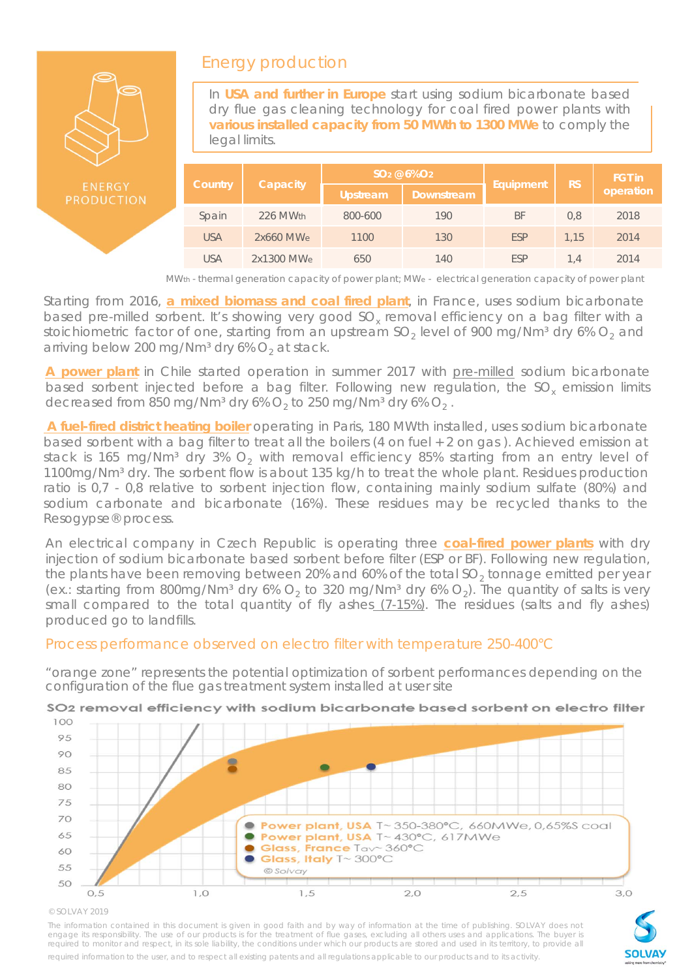

## Energy production

In **USA and further in Europe** start using sodium bicarbonate based dry flue gas cleaning technology for coal fired power plants with **various installed capacity from 50 MWth to 1300 MWe** to comply the legal limits.

|            |            | $SO2 @ 6\%O2$ |            |            | <b>FGT</b> in |           |  |
|------------|------------|---------------|------------|------------|---------------|-----------|--|
| Country    | Capacity   | Upstream      | Downstream | Equipment  | <b>RS</b>     | operation |  |
| Spain      | 226 MWth   | 800-600       | 190        | BF         | 0,8           | 2018      |  |
| <b>USA</b> | 2x660 MWe  | 1100          | 130        | <b>ESP</b> | 1.15          | 2014      |  |
| <b>USA</b> | 2x1300 MWe | 650           | 140        | <b>ESP</b> | 1.4           | 2014      |  |

*MWth - thermal generation capacity of power plant; MWe - electrical generation capacity of power plant*

Starting from 2016, **a mixed biomass and coal fired plant**, in France, uses sodium bicarbonate based pre-milled sorbent. It's showing very good SO<sub>x</sub> removal efficiency on a bag filter with a stoichiometric factor of one, starting from an upstream  $SO<sub>2</sub>$  level of 900 mg/Nm<sup>3</sup> dry 6%  $O<sub>2</sub>$  and arriving below 200 mg/Nm<sup>3</sup> dry 6%  $O<sub>2</sub>$  at stack.

**A power plant** in Chile started operation in summer 2017 with pre-milled sodium bicarbonate based sorbent injected before a bag filter. Following new regulation, the SO<sub>y</sub> emission limits decreased from 850 mg/Nm<sup>3</sup> dry 6%  $O_2$  to 250 mg/Nm<sup>3</sup> dry 6%  $O_2$ .

**A fuel-fired district heating boiler** operating in Paris, 180 MWth installed, uses sodium bicarbonate based sorbent with a bag filter to treat all the boilers (4 on fuel + 2 on gas ). Achieved emission at stack is 165 mg/Nm<sup>3</sup> dry 3%  $O<sub>2</sub>$  with removal efficiency 85% starting from an entry level of 1100mg/Nm<sup>3</sup> dry. The sorbent flow is about 135 kg/h to treat the whole plant. Residues production ratio is 0,7 - 0,8 relative to sorbent injection flow, containing mainly sodium sulfate (80%) and sodium carbonate and bicarbonate (16%). These residues may be recycled thanks to the Resogypse® process.

An electrical company in Czech Republic is operating three **coal-fired power plants** with dry injection of sodium bicarbonate based sorbent before filter (ESP or BF). Following new regulation, the plants have been removing between 20% and 60% of the total  $SO<sub>2</sub>$  tonnage emitted per year (ex.: starting from 800mg/Nm<sup>3</sup> dry 6%  $O_2$  to 320 mg/Nm<sup>3</sup> dry 6%  $O_2$ ). The quantity of salts is very small compared to the total quantity of fly ashes (7-15%). The residues (salts and fly ashes) produced go to landfills.

## Process performance observed on electro filter with temperature 250-400°C

"orange zone" represents the potential optimization of sorbent performances depending on the configuration of the flue gas treatment system installed at user site



## SO<sub>2</sub> removal efficiency with sodium bicarbonate based sorbent on electro filter

#### © SOLVAY 2019

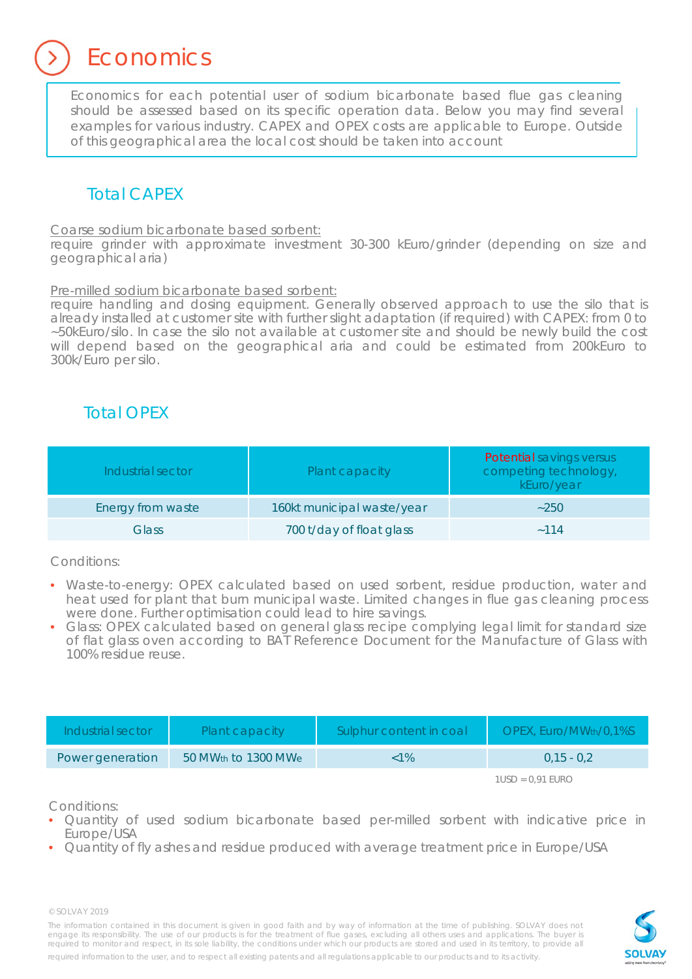**Economics** 

Economics for each potential user of sodium bicarbonate based flue gas cleaning should be assessed based on its specific operation data. Below you may find several examples for various industry. CAPEX and OPEX costs are applicable to Europe. Outside of this geographical area the local cost should be taken into account

## Total CAPEX

Coarse sodium bicarbonate based sorbent:

require grinder with approximate investment 30-300 kEuro/grinder (depending on size and geographical aria)

Pre-milled sodium bicarbonate based sorbent:

require handling and dosing equipment. Generally observed approach to use the silo that is already installed at customer site with further slight adaptation (if required) with CAPEX: from 0 to ~50kEuro/silo. In case the silo not available at customer site and should be newly build the cost will depend based on the geographical aria and could be estimated from 200kEuro to 300k/Euro per silo.

## Total OPEX

| Industrial sector | Plant capacity             | <b>Potential savings versus</b><br>competing technology,<br>kEuro/year |
|-------------------|----------------------------|------------------------------------------------------------------------|
| Energy from waste | 160kt municipal waste/year | ~250                                                                   |
| Glass             | 700 t/day of float glass   | $-114$                                                                 |

Conditions:

- Waste-to-energy: OPEX calculated based on used sorbent, residue production, water and heat used for plant that burn municipal waste. Limited changes in flue gas cleaning process were done. Further optimisation could lead to hire savings.
- Glass: OPEX calculated based on general glass recipe complying legal limit for standard size of flat glass oven according to BAT Reference Document for the Manufacture of Glass with 100% residue reuse.

| Industrial sector | Plant capacity                  | Sulphur content in coal | OPEX, Euro/MWth/0,1%S |
|-------------------|---------------------------------|-------------------------|-----------------------|
| Power generation  | 50 MW <sub>th</sub> to 1300 MWe | $< 1\%$                 | $0.15 - 0.2$          |

*1USD = 0,91 EURO*

Conditions:

- Quantity of used sodium bicarbonate based per-milled sorbent with indicative price in Europe/USA
- Quantity of fly ashes and residue produced with average treatment price in Europe/USA

© SOLVAY 2019

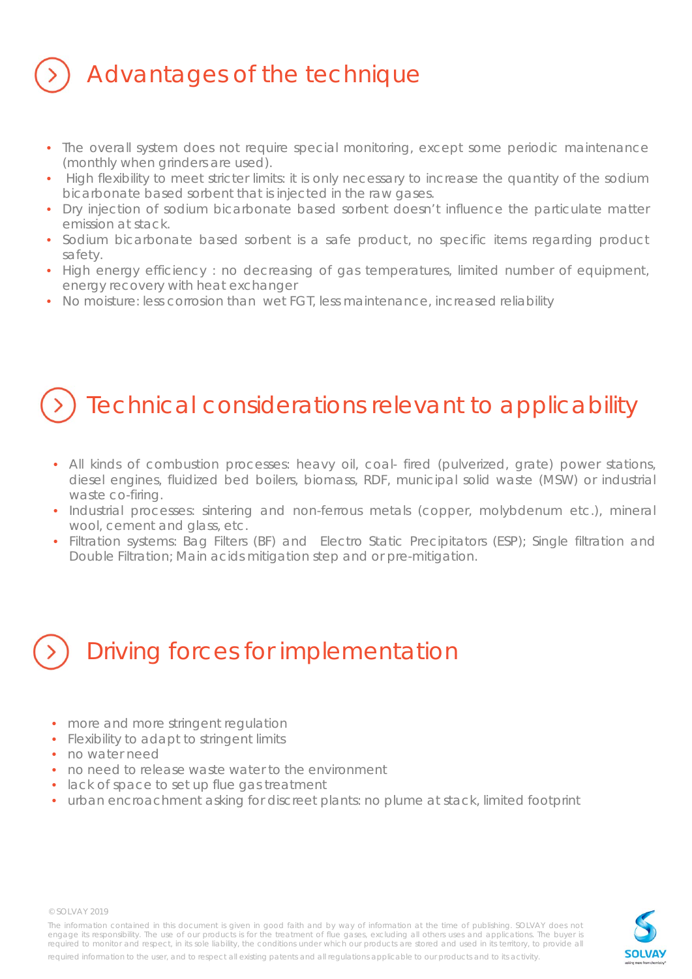## Advantages of the technique

- The overall system does not require special monitoring, except some periodic maintenance (monthly when grinders are used).
- High flexibility to meet stricter limits: it is only necessary to increase the quantity of the sodium bicarbonate based sorbent that is injected in the raw gases.
- Dry injection of sodium bicarbonate based sorbent doesn't influence the particulate matter emission at stack.
- Sodium bicarbonate based sorbent is a safe product, no specific items regarding product safety.
- High energy efficiency : no decreasing of gas temperatures, limited number of equipment, energy recovery with heat exchanger
- No moisture: less corrosion than wet FGT, less maintenance, increased reliability

## Technical considerations relevant to applicability

- All kinds of combustion processes: heavy oil, coal- fired (pulverized, grate) power stations, diesel engines, fluidized bed boilers, biomass, RDF, municipal solid waste (MSW) or industrial waste co-firing.
- Industrial processes: sintering and non-ferrous metals (copper, molybdenum etc.), mineral wool, cement and glass, etc.
- Filtration systems: Bag Filters (BF) and Electro Static Precipitators (ESP); Single filtration and Double Filtration; Main acids mitigation step and or pre-mitigation.

# Driving forces for implementation

- more and more stringent regulation
- Flexibility to adapt to stringent limits
- no water need
- no need to release waste water to the environment
- lack of space to set up flue gas treatment
- urban encroachment asking for discreet plants: no plume at stack, limited footprint



© SOLVAY 2019